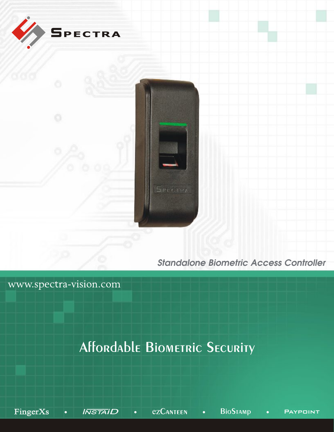

*Standalone Biometric Access Controller*

www.spectra-vision.com

# Affordable Biometric Security